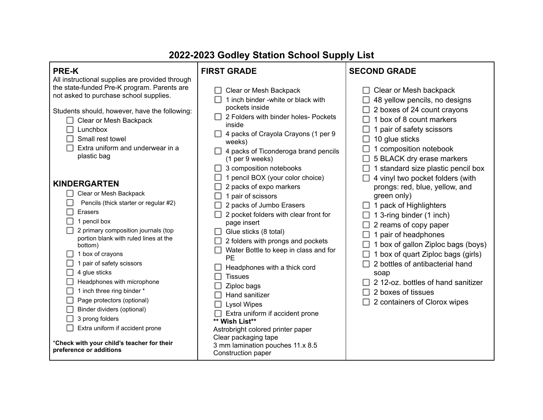| ZUZZ-ZUZS GOGIEV STATION SCHOOL SUPPLY LIST                                                                                                                                                                                                                                                                                                                                                                                                                                                                                                                                                                                                                                                                                                                                                                                                     |                                                                                                                                                                                                                                                                                                                                                                                                                                                                                                                                                                                                                                                                                                                                                                                                                                                                  |                                                                                                                                                                                                                                                                                                                                                                                                                                                                                                                                                                                                                                                                                     |  |
|-------------------------------------------------------------------------------------------------------------------------------------------------------------------------------------------------------------------------------------------------------------------------------------------------------------------------------------------------------------------------------------------------------------------------------------------------------------------------------------------------------------------------------------------------------------------------------------------------------------------------------------------------------------------------------------------------------------------------------------------------------------------------------------------------------------------------------------------------|------------------------------------------------------------------------------------------------------------------------------------------------------------------------------------------------------------------------------------------------------------------------------------------------------------------------------------------------------------------------------------------------------------------------------------------------------------------------------------------------------------------------------------------------------------------------------------------------------------------------------------------------------------------------------------------------------------------------------------------------------------------------------------------------------------------------------------------------------------------|-------------------------------------------------------------------------------------------------------------------------------------------------------------------------------------------------------------------------------------------------------------------------------------------------------------------------------------------------------------------------------------------------------------------------------------------------------------------------------------------------------------------------------------------------------------------------------------------------------------------------------------------------------------------------------------|--|
| <b>PRE-K</b>                                                                                                                                                                                                                                                                                                                                                                                                                                                                                                                                                                                                                                                                                                                                                                                                                                    | <b>FIRST GRADE</b>                                                                                                                                                                                                                                                                                                                                                                                                                                                                                                                                                                                                                                                                                                                                                                                                                                               | <b>SECOND GRADE</b>                                                                                                                                                                                                                                                                                                                                                                                                                                                                                                                                                                                                                                                                 |  |
| All instructional supplies are provided through<br>the state-funded Pre-K program. Parents are<br>not asked to purchase school supplies.<br>Students should, however, have the following:<br>Clear or Mesh Backpack<br>Lunchbox<br>Small rest towel<br>Extra uniform and underwear in a<br>plastic bag<br><b>KINDERGARTEN</b><br>Clear or Mesh Backpack<br>Pencils (thick starter or regular #2)<br>Erasers<br>1 pencil box<br>2 primary composition journals (top<br>portion blank with ruled lines at the<br>bottom)<br>1 box of crayons<br>1 pair of safety scissors<br>4 glue sticks<br>Headphones with microphone<br>1 inch three ring binder *<br>Page protectors (optional)<br>Binder dividers (optional)<br>3 prong folders<br>Extra uniform if accident prone<br>*Check with your child's teacher for their<br>preference or additions | Clear or Mesh Backpack<br>1 inch binder -white or black with<br>pockets inside<br>2 Folders with binder holes- Pockets<br>inside<br>4 packs of Crayola Crayons (1 per 9<br>H<br>weeks)<br>4 packs of Ticonderoga brand pencils<br>(1 per 9 weeks)<br>3 composition notebooks<br>ΙI<br>pencil BOX (your color choice)<br>2 packs of expo markers<br>pair of scissors<br>2 packs of Jumbo Erasers<br>2 pocket folders with clear front for<br>page insert<br>Glue sticks (8 total)<br>2 folders with prongs and pockets<br>Water Bottle to keep in class and for<br><b>PE</b><br>Headphones with a thick cord<br><b>Tissues</b><br>Ziploc bags<br>Hand sanitizer<br><b>Lysol Wipes</b><br>Extra uniform if accident prone<br>** Wish List**<br>Astrobright colored printer paper<br>Clear packaging tape<br>3 mm lamination pouches 11.x 8.5<br>Construction paper | $\Box$ Clear or Mesh backpack<br>48 yellow pencils, no designs<br>2 boxes of 24 count crayons<br>1 box of 8 count markers<br>1 pair of safety scissors<br>10 glue sticks<br>1 composition notebook<br>5 BLACK dry erase markers<br>1 standard size plastic pencil box<br>4 vinyl two pocket folders (with<br>prongs: red, blue, yellow, and<br>green only)<br>1 pack of Highlighters<br>1 3-ring binder (1 inch)<br>2 reams of copy paper<br>1 pair of headphones<br>1 box of gallon Ziploc bags (boys)<br>1 box of quart Ziploc bags (girls)<br>2 bottles of antibacterial hand<br>soap<br>212-oz. bottles of hand sanitizer<br>2 boxes of tissues<br>2 containers of Clorox wipes |  |

## **2022-2023 Godley Station School Supply List**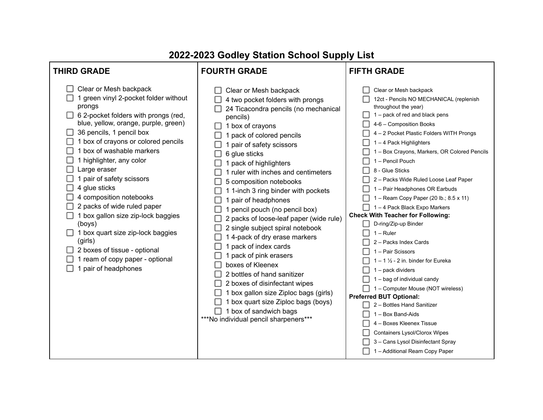## **THIRD GRADE FOURTH GRADE FIFTH GRADE**  $\Box$  Clear or Mesh backpack  $\Box$  Clear or Mesh backpack Clear or Mesh backpack  $\Box$  1 green vinyl 2-pocket folder without  $\Box$  4 two pocket folders with prongs 12ct - Pencils NO MECHANICAL (replenish prongs throughout the year)  $\Box$  24 Ticacondra pencils (no mechanical  $\Box$  6 2-pocket folders with prongs (red,  $\Box$  1 – pack of red and black pens pencils) blue, yellow, orange, purple, green)  $\Box$  4-6 – Composition Books  $\Box$  1 box of crayons  $\Box$  36 pencils, 1 pencil box  $\Box$  4 – 2 Pocket Plastic Folders WITH Prongs  $\Box$  1 pack of colored pencils  $\Box$  1 box of crayons or colored pencils  $\Box$  1 – 4 Pack Highlighters 1 pair of safety scissors  $\Box$  1 box of washable markers 1 – Box Crayons, Markers, OR Colored Pencils 6 glue sticks П  $\Box$  1 highlighter, any color  $\Box$  1 – Pencil Pouch  $\Box$  1 pack of highlighters  $\Box$  Large eraser  $\Box$  8 - Glue Sticks  $\Box$  1 ruler with inches and centimeters  $\Box$  1 pair of safety scissors □ 2 – Packs Wide Ruled Loose Leaf Paper  $\Box$  5 composition notebooks  $\Box$  4 glue sticks  $\Box$  1 – Pair Headphones OR Earbuds  $\Box$  1 1-inch 3 ring binder with pockets  $\Box$  4 composition notebooks  $\Box$  1 – Ream Copy Paper (20 lb.; 8.5 x 11)  $\Box$  1 pair of headphones  $\Box$  2 packs of wide ruled paper  $\Box$  1 – 4 Pack Black Expo Markers 1 pencil pouch (no pencil box)  $\Box$  1 box gallon size zip-lock baggies **Check With Teacher for Following:**  $\Box$  2 packs of loose-leaf paper (wide rule) D-ring/Zip-up Binder (boys)  $\Box$  2 single subject spiral notebook  $\Box$  1 box quart size zip-lock baggies  $\Box$  1 – Ruler  $\Box$  14-pack of dry erase markers (girls)  $\Box$  2 – Packs Index Cards  $\Box$  1 pack of index cards  $\Box$  2 boxes of tissue - optional  $\Box$  1 – Pair Scissors  $\Box$  1 pack of pink erasers  $\Box$  1 ream of copy paper - optional  $\Box$  1 – 1  $\frac{1}{2}$  - 2 in. binder for Eureka boxes of Kleenex  $\Box$  1 pair of headphones  $\Box$  1 – pack dividers  $\Box$  2 bottles of hand sanitizer  $\Box$  1 – bag of individual candy  $\Box$  2 boxes of disinfectant wipes  $\Box$  1 – Computer Mouse (NOT wireless)  $\Box$  1 box gallon size Ziploc bags (girls) **Preferred BUT Optional:**  $\Box$  1 box quart size Ziploc bags (boys)  $\Box$  2 – Bottles Hand Sanitizer  $\Box$  1 box of sandwich bags  $\Box$  1 – Box Band-Aids \*\*\*No individual pencil sharpeners\*\*\*  $\Box$  4 – Boxes Kleenex Tissue □ Containers Lysol/Clorox Wipes  $\Box$  3 – Cans Lysol Disinfectant Spray  $\Box$  1 – Additional Ream Copy Paper

## **2022-2023 Godley Station School Supply List**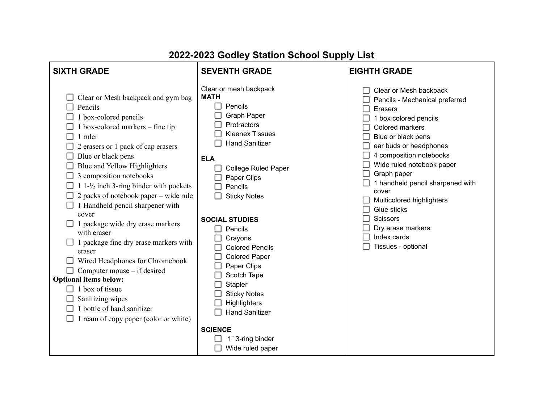| <b>SIXTH GRADE</b>                                                                                                                                                                                                                                                                                                                                                                                                                                                                                                                                                                                                                                                                                            | <b>SEVENTH GRADE</b>                                                                                                                                                                                                                                                                                                                                                                                                                                          | <b>EIGHTH GRADE</b>                                                                                                                                                                                                                                                                                                                                                                                                 |
|---------------------------------------------------------------------------------------------------------------------------------------------------------------------------------------------------------------------------------------------------------------------------------------------------------------------------------------------------------------------------------------------------------------------------------------------------------------------------------------------------------------------------------------------------------------------------------------------------------------------------------------------------------------------------------------------------------------|---------------------------------------------------------------------------------------------------------------------------------------------------------------------------------------------------------------------------------------------------------------------------------------------------------------------------------------------------------------------------------------------------------------------------------------------------------------|---------------------------------------------------------------------------------------------------------------------------------------------------------------------------------------------------------------------------------------------------------------------------------------------------------------------------------------------------------------------------------------------------------------------|
| Clear or Mesh backpack and gym bag<br>Pencils<br>1 box-colored pencils<br>1 box-colored markers – fine tip<br>1 ruler<br>2 erasers or 1 pack of cap erasers<br>Blue or black pens<br>Blue and Yellow Highlighters<br>3 composition notebooks<br>1 $1-\frac{1}{2}$ inch 3-ring binder with pockets<br>2 packs of notebook paper – wide rule<br>1 Handheld pencil sharpener with<br>cover<br>1 package wide dry erase markers<br>with eraser<br>1 package fine dry erase markers with<br>eraser<br>Wired Headphones for Chromebook<br>Computer mouse – if desired<br><b>Optional items below:</b><br>1 box of tissue<br>Sanitizing wipes<br>1 bottle of hand sanitizer<br>1 ream of copy paper (color or white) | Clear or mesh backpack<br><b>MATH</b><br>Pencils<br><b>Graph Paper</b><br>Protractors<br><b>Kleenex Tissues</b><br><b>Hand Sanitizer</b><br><b>ELA</b><br><b>College Ruled Paper</b><br>Paper Clips<br>Pencils<br><b>Sticky Notes</b><br><b>SOCIAL STUDIES</b><br>$\Box$ Pencils<br>Crayons<br><b>Colored Pencils</b><br><b>Colored Paper</b><br>Paper Clips<br>Scotch Tape<br>Stapler<br><b>Sticky Notes</b><br><b>Highlighters</b><br><b>Hand Sanitizer</b> | Clear or Mesh backpack<br>Pencils - Mechanical preferred<br><b>Erasers</b><br>1 box colored pencils<br>Colored markers<br>Blue or black pens<br>ear buds or headphones<br>4 composition notebooks<br>Wide ruled notebook paper<br>Graph paper<br>1 handheld pencil sharpened with<br>cover<br>Multicolored highlighters<br>Glue sticks<br><b>Scissors</b><br>Dry erase markers<br>Index cards<br>Tissues - optional |
|                                                                                                                                                                                                                                                                                                                                                                                                                                                                                                                                                                                                                                                                                                               | <b>SCIENCE</b><br>1" 3-ring binder<br>Wide ruled paper                                                                                                                                                                                                                                                                                                                                                                                                        |                                                                                                                                                                                                                                                                                                                                                                                                                     |

## **2022-2023 Godley Station School Supply List**